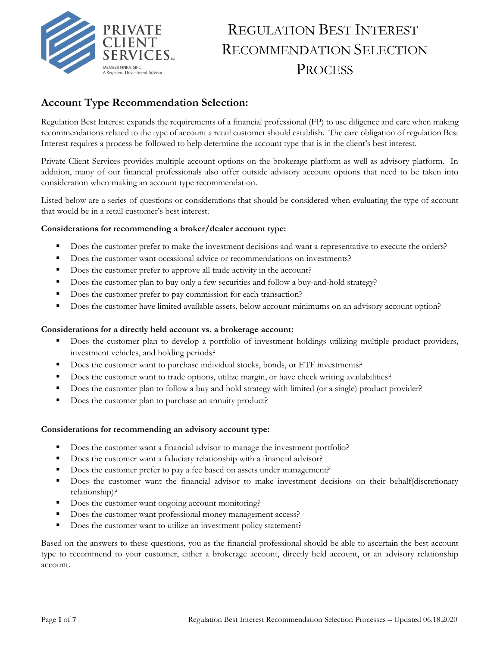

# REGULATION BEST INTEREST RECOMMENDATION SELECTION **PROCESS**

### **Account Type Recommendation Selection:**

Regulation Best Interest expands the requirements of a financial professional (FP) to use diligence and care when making recommendations related to the type of account a retail customer should establish. The care obligation of regulation Best Interest requires a process be followed to help determine the account type that is in the client's best interest.

Private Client Services provides multiple account options on the brokerage platform as well as advisory platform. In addition, many of our financial professionals also offer outside advisory account options that need to be taken into consideration when making an account type recommendation.

Listed below are a series of questions or considerations that should be considered when evaluating the type of account that would be in a retail customer's best interest.

#### **Considerations for recommending a broker/dealer account type:**

- Does the customer prefer to make the investment decisions and want a representative to execute the orders?
- Does the customer want occasional advice or recommendations on investments?
- Does the customer prefer to approve all trade activity in the account?
- Does the customer plan to buy only a few securities and follow a buy-and-hold strategy?
- Does the customer prefer to pay commission for each transaction?
- **•** Does the customer have limited available assets, below account minimums on an advisory account option?

#### **Considerations for a directly held account vs. a brokerage account:**

- **•** Does the customer plan to develop a portfolio of investment holdings utilizing multiple product providers, investment vehicles, and holding periods?
- **•** Does the customer want to purchase individual stocks, bonds, or ETF investments?
- Does the customer want to trade options, utilize margin, or have check writing availabilities?
- Does the customer plan to follow a buy and hold strategy with limited (or a single) product provider?
- Does the customer plan to purchase an annuity product?

#### **Considerations for recommending an advisory account type:**

- **•** Does the customer want a financial advisor to manage the investment portfolio?
- Does the customer want a fiduciary relationship with a financial advisor?
- Does the customer prefer to pay a fee based on assets under management?
- Does the customer want the financial advisor to make investment decisions on their behalf(discretionary relationship)?
- Does the customer want ongoing account monitoring?
- Does the customer want professional money management access?
- Does the customer want to utilize an investment policy statement?

Based on the answers to these questions, you as the financial professional should be able to ascertain the best account type to recommend to your customer, either a brokerage account, directly held account, or an advisory relationship account.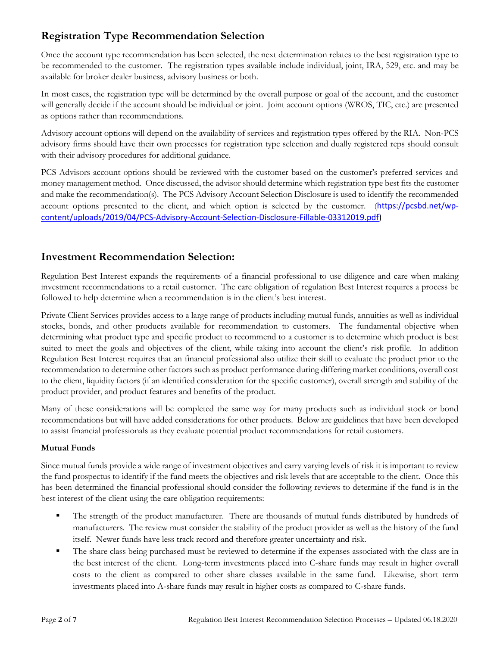# **Registration Type Recommendation Selection**

Once the account type recommendation has been selected, the next determination relates to the best registration type to be recommended to the customer. The registration types available include individual, joint, IRA, 529, etc. and may be available for broker dealer business, advisory business or both.

In most cases, the registration type will be determined by the overall purpose or goal of the account, and the customer will generally decide if the account should be individual or joint. Joint account options (WROS, TIC, etc.) are presented as options rather than recommendations.

Advisory account options will depend on the availability of services and registration types offered by the RIA. Non-PCS advisory firms should have their own processes for registration type selection and dually registered reps should consult with their advisory procedures for additional guidance.

PCS Advisors account options should be reviewed with the customer based on the customer's preferred services and money management method. Once discussed, the advisor should determine which registration type best fits the customer and make the recommendation(s). The PCS Advisory Account Selection Disclosure is used to identify the recommended account options presented to the client, and which option is selected by the customer. ([https://pcsbd.net/wp](https://pcsbd.net/wp-content/uploads/2019/04/PCS-Advisory-Account-Selection-Disclosure-Fillable-03312019.pdf)[content/uploads/2019/04/PCS-Advisory-Account-Selection-Disclosure-Fillable-03312019.pdf\)](https://pcsbd.net/wp-content/uploads/2019/04/PCS-Advisory-Account-Selection-Disclosure-Fillable-03312019.pdf)

### **Investment Recommendation Selection:**

Regulation Best Interest expands the requirements of a financial professional to use diligence and care when making investment recommendations to a retail customer. The care obligation of regulation Best Interest requires a process be followed to help determine when a recommendation is in the client's best interest.

Private Client Services provides access to a large range of products including mutual funds, annuities as well as individual stocks, bonds, and other products available for recommendation to customers. The fundamental objective when determining what product type and specific product to recommend to a customer is to determine which product is best suited to meet the goals and objectives of the client, while taking into account the client's risk profile. In addition Regulation Best Interest requires that an financial professional also utilize their skill to evaluate the product prior to the recommendation to determine other factors such as product performance during differing market conditions, overall cost to the client, liquidity factors (if an identified consideration for the specific customer), overall strength and stability of the product provider, and product features and benefits of the product.

Many of these considerations will be completed the same way for many products such as individual stock or bond recommendations but will have added considerations for other products. Below are guidelines that have been developed to assist financial professionals as they evaluate potential product recommendations for retail customers.

#### **Mutual Funds**

Since mutual funds provide a wide range of investment objectives and carry varying levels of risk it is important to review the fund prospectus to identify if the fund meets the objectives and risk levels that are acceptable to the client. Once this has been determined the financial professional should consider the following reviews to determine if the fund is in the best interest of the client using the care obligation requirements:

- The strength of the product manufacturer. There are thousands of mutual funds distributed by hundreds of manufacturers. The review must consider the stability of the product provider as well as the history of the fund itself. Newer funds have less track record and therefore greater uncertainty and risk.
- The share class being purchased must be reviewed to determine if the expenses associated with the class are in the best interest of the client. Long-term investments placed into C-share funds may result in higher overall costs to the client as compared to other share classes available in the same fund. Likewise, short term investments placed into A-share funds may result in higher costs as compared to C-share funds.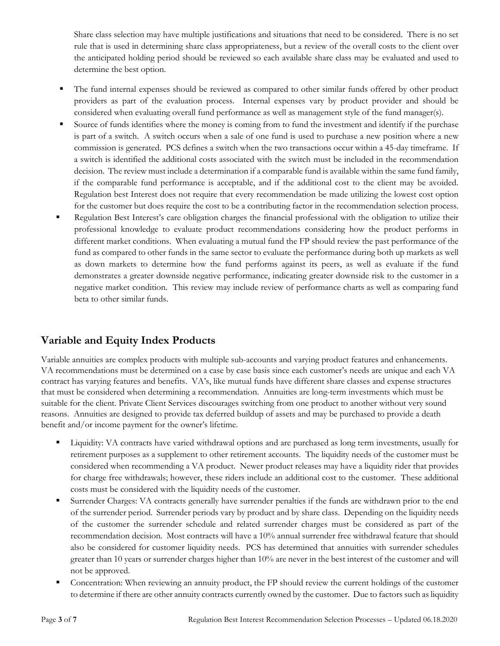Share class selection may have multiple justifications and situations that need to be considered. There is no set rule that is used in determining share class appropriateness, but a review of the overall costs to the client over the anticipated holding period should be reviewed so each available share class may be evaluated and used to determine the best option.

- The fund internal expenses should be reviewed as compared to other similar funds offered by other product providers as part of the evaluation process. Internal expenses vary by product provider and should be considered when evaluating overall fund performance as well as management style of the fund manager(s).
- Source of funds identifies where the money is coming from to fund the investment and identify if the purchase is part of a switch. A switch occurs when a sale of one fund is used to purchase a new position where a new commission is generated. PCS defines a switch when the two transactions occur within a 45-day timeframe. If a switch is identified the additional costs associated with the switch must be included in the recommendation decision. The review must include a determination if a comparable fund is available within the same fund family, if the comparable fund performance is acceptable, and if the additional cost to the client may be avoided. Regulation best Interest does not require that every recommendation be made utilizing the lowest cost option for the customer but does require the cost to be a contributing factor in the recommendation selection process.
- Regulation Best Interest's care obligation charges the financial professional with the obligation to utilize their professional knowledge to evaluate product recommendations considering how the product performs in different market conditions. When evaluating a mutual fund the FP should review the past performance of the fund as compared to other funds in the same sector to evaluate the performance during both up markets as well as down markets to determine how the fund performs against its peers, as well as evaluate if the fund demonstrates a greater downside negative performance, indicating greater downside risk to the customer in a negative market condition. This review may include review of performance charts as well as comparing fund beta to other similar funds.

### **Variable and Equity Index Products**

Variable annuities are complex products with multiple sub-accounts and varying product features and enhancements. VA recommendations must be determined on a case by case basis since each customer's needs are unique and each VA contract has varying features and benefits. VA's, like mutual funds have different share classes and expense structures that must be considered when determining a recommendation. Annuities are long-term investments which must be suitable for the client. Private Client Services discourages switching from one product to another without very sound reasons. Annuities are designed to provide tax deferred buildup of assets and may be purchased to provide a death benefit and/or income payment for the owner's lifetime.

- Liquidity: VA contracts have varied withdrawal options and are purchased as long term investments, usually for retirement purposes as a supplement to other retirement accounts. The liquidity needs of the customer must be considered when recommending a VA product. Newer product releases may have a liquidity rider that provides for charge free withdrawals; however, these riders include an additional cost to the customer. These additional costs must be considered with the liquidity needs of the customer.
- **Exercise Surrender Charges: VA contracts generally have surrender penalties if the funds are withdrawn prior to the end** of the surrender period. Surrender periods vary by product and by share class. Depending on the liquidity needs of the customer the surrender schedule and related surrender charges must be considered as part of the recommendation decision. Most contracts will have a 10% annual surrender free withdrawal feature that should also be considered for customer liquidity needs. PCS has determined that annuities with surrender schedules greater than 10 years or surrender charges higher than 10% are never in the best interest of the customer and will not be approved.
- Concentration: When reviewing an annuity product, the FP should review the current holdings of the customer to determine if there are other annuity contracts currently owned by the customer. Due to factors such as liquidity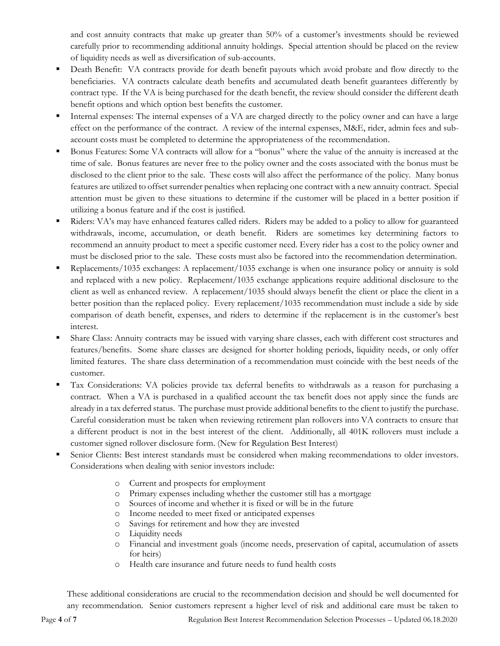and cost annuity contracts that make up greater than 50% of a customer's investments should be reviewed carefully prior to recommending additional annuity holdings. Special attention should be placed on the review of liquidity needs as well as diversification of sub-accounts.

- Death Benefit: VA contracts provide for death benefit payouts which avoid probate and flow directly to the beneficiaries. VA contracts calculate death benefits and accumulated death benefit guarantees differently by contract type. If the VA is being purchased for the death benefit, the review should consider the different death benefit options and which option best benefits the customer.
- Internal expenses: The internal expenses of a VA are charged directly to the policy owner and can have a large effect on the performance of the contract. A review of the internal expenses, M&E, rider, admin fees and subaccount costs must be completed to determine the appropriateness of the recommendation.
- Bonus Features: Some VA contracts will allow for a "bonus" where the value of the annuity is increased at the time of sale. Bonus features are never free to the policy owner and the costs associated with the bonus must be disclosed to the client prior to the sale. These costs will also affect the performance of the policy. Many bonus features are utilized to offset surrender penalties when replacing one contract with a new annuity contract. Special attention must be given to these situations to determine if the customer will be placed in a better position if utilizing a bonus feature and if the cost is justified.
- Riders: VA's may have enhanced features called riders. Riders may be added to a policy to allow for guaranteed withdrawals, income, accumulation, or death benefit. Riders are sometimes key determining factors to recommend an annuity product to meet a specific customer need. Every rider has a cost to the policy owner and must be disclosed prior to the sale. These costs must also be factored into the recommendation determination.
- Replacements/1035 exchanges: A replacement/1035 exchange is when one insurance policy or annuity is sold and replaced with a new policy. Replacement/1035 exchange applications require additional disclosure to the client as well as enhanced review. A replacement/1035 should always benefit the client or place the client in a better position than the replaced policy. Every replacement/1035 recommendation must include a side by side comparison of death benefit, expenses, and riders to determine if the replacement is in the customer's best interest.
- Share Class: Annuity contracts may be issued with varying share classes, each with different cost structures and features/benefits. Some share classes are designed for shorter holding periods, liquidity needs, or only offer limited features. The share class determination of a recommendation must coincide with the best needs of the customer.
- Tax Considerations: VA policies provide tax deferral benefits to withdrawals as a reason for purchasing a contract. When a VA is purchased in a qualified account the tax benefit does not apply since the funds are already in a tax deferred status. The purchase must provide additional benefits to the client to justify the purchase. Careful consideration must be taken when reviewing retirement plan rollovers into VA contracts to ensure that a different product is not in the best interest of the client. Additionally, all 401K rollovers must include a customer signed rollover disclosure form. (New for Regulation Best Interest)
- Senior Clients: Best interest standards must be considered when making recommendations to older investors. Considerations when dealing with senior investors include:
	- o Current and prospects for employment
	- o Primary expenses including whether the customer still has a mortgage
	- o Sources of income and whether it is fixed or will be in the future
	- o Income needed to meet fixed or anticipated expenses
	- o Savings for retirement and how they are invested
	- o Liquidity needs
	- o Financial and investment goals (income needs, preservation of capital, accumulation of assets for heirs)
	- o Health care insurance and future needs to fund health costs

These additional considerations are crucial to the recommendation decision and should be well documented for any recommendation. Senior customers represent a higher level of risk and additional care must be taken to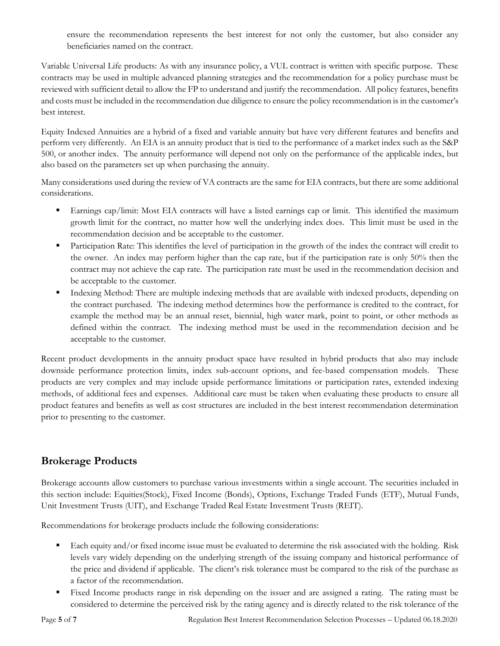ensure the recommendation represents the best interest for not only the customer, but also consider any beneficiaries named on the contract.

Variable Universal Life products: As with any insurance policy, a VUL contract is written with specific purpose. These contracts may be used in multiple advanced planning strategies and the recommendation for a policy purchase must be reviewed with sufficient detail to allow the FP to understand and justify the recommendation. All policy features, benefits and costs must be included in the recommendation due diligence to ensure the policy recommendation is in the customer's best interest.

Equity Indexed Annuities are a hybrid of a fixed and variable annuity but have very different features and benefits and perform very differently. An EIA is an annuity product that is tied to the performance of a market index such as the S&P 500, or another index. The annuity performance will depend not only on the performance of the applicable index, but also based on the parameters set up when purchasing the annuity.

Many considerations used during the review of VA contracts are the same for EIA contracts, but there are some additional considerations.

- Earnings cap/limit: Most EIA contracts will have a listed earnings cap or limit. This identified the maximum growth limit for the contract, no matter how well the underlying index does. This limit must be used in the recommendation decision and be acceptable to the customer.
- **•** Participation Rate: This identifies the level of participation in the growth of the index the contract will credit to the owner. An index may perform higher than the cap rate, but if the participation rate is only 50% then the contract may not achieve the cap rate. The participation rate must be used in the recommendation decision and be acceptable to the customer.
- Indexing Method: There are multiple indexing methods that are available with indexed products, depending on the contract purchased. The indexing method determines how the performance is credited to the contract, for example the method may be an annual reset, biennial, high water mark, point to point, or other methods as defined within the contract. The indexing method must be used in the recommendation decision and be acceptable to the customer.

Recent product developments in the annuity product space have resulted in hybrid products that also may include downside performance protection limits, index sub-account options, and fee-based compensation models. These products are very complex and may include upside performance limitations or participation rates, extended indexing methods, of additional fees and expenses. Additional care must be taken when evaluating these products to ensure all product features and benefits as well as cost structures are included in the best interest recommendation determination prior to presenting to the customer.

## **Brokerage Products**

Brokerage accounts allow customers to purchase various investments within a single account. The securities included in this section include: Equities(Stock), Fixed Income (Bonds), Options, Exchange Traded Funds (ETF), Mutual Funds, Unit Investment Trusts (UIT), and Exchange Traded Real Estate Investment Trusts (REIT).

Recommendations for brokerage products include the following considerations:

- Each equity and/or fixed income issue must be evaluated to determine the risk associated with the holding. Risk levels vary widely depending on the underlying strength of the issuing company and historical performance of the price and dividend if applicable. The client's risk tolerance must be compared to the risk of the purchase as a factor of the recommendation.
- Fixed Income products range in risk depending on the issuer and are assigned a rating. The rating must be considered to determine the perceived risk by the rating agency and is directly related to the risk tolerance of the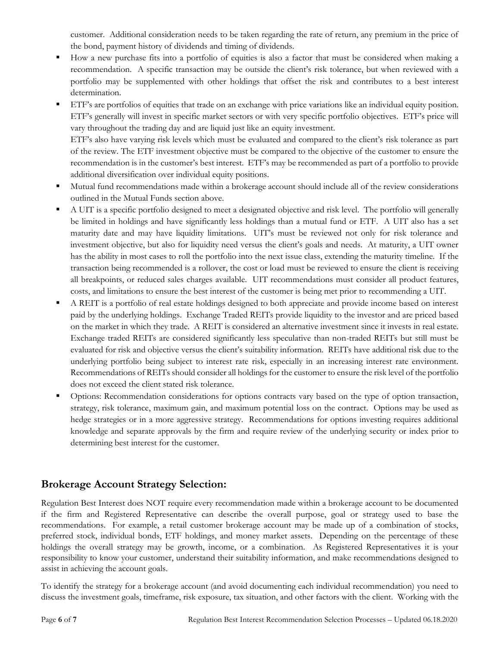customer. Additional consideration needs to be taken regarding the rate of return, any premium in the price of the bond, payment history of dividends and timing of dividends.

- How a new purchase fits into a portfolio of equities is also a factor that must be considered when making a recommendation. A specific transaction may be outside the client's risk tolerance, but when reviewed with a portfolio may be supplemented with other holdings that offset the risk and contributes to a best interest determination.
- ETF's are portfolios of equities that trade on an exchange with price variations like an individual equity position. ETF's generally will invest in specific market sectors or with very specific portfolio objectives. ETF's price will vary throughout the trading day and are liquid just like an equity investment. ETF's also have varying risk levels which must be evaluated and compared to the client's risk tolerance as part

of the review. The ETF investment objective must be compared to the objective of the customer to ensure the recommendation is in the customer's best interest. ETF's may be recommended as part of a portfolio to provide additional diversification over individual equity positions.

- Mutual fund recommendations made within a brokerage account should include all of the review considerations outlined in the Mutual Funds section above.
- A UIT is a specific portfolio designed to meet a designated objective and risk level. The portfolio will generally be limited in holdings and have significantly less holdings than a mutual fund or ETF. A UIT also has a set maturity date and may have liquidity limitations. UIT's must be reviewed not only for risk tolerance and investment objective, but also for liquidity need versus the client's goals and needs. At maturity, a UIT owner has the ability in most cases to roll the portfolio into the next issue class, extending the maturity timeline. If the transaction being recommended is a rollover, the cost or load must be reviewed to ensure the client is receiving all breakpoints, or reduced sales charges available. UIT recommendations must consider all product features, costs, and limitations to ensure the best interest of the customer is being met prior to recommending a UIT.
- A REIT is a portfolio of real estate holdings designed to both appreciate and provide income based on interest paid by the underlying holdings. Exchange Traded REITs provide liquidity to the investor and are priced based on the market in which they trade. A REIT is considered an alternative investment since it invests in real estate. Exchange traded REITs are considered significantly less speculative than non-traded REITs but still must be evaluated for risk and objective versus the client's suitability information. REITs have additional risk due to the underlying portfolio being subject to interest rate risk, especially in an increasing interest rate environment. Recommendations of REITs should consider all holdings for the customer to ensure the risk level of the portfolio does not exceed the client stated risk tolerance.
- Options: Recommendation considerations for options contracts vary based on the type of option transaction, strategy, risk tolerance, maximum gain, and maximum potential loss on the contract. Options may be used as hedge strategies or in a more aggressive strategy. Recommendations for options investing requires additional knowledge and separate approvals by the firm and require review of the underlying security or index prior to determining best interest for the customer.

### **Brokerage Account Strategy Selection:**

Regulation Best Interest does NOT require every recommendation made within a brokerage account to be documented if the firm and Registered Representative can describe the overall purpose, goal or strategy used to base the recommendations. For example, a retail customer brokerage account may be made up of a combination of stocks, preferred stock, individual bonds, ETF holdings, and money market assets. Depending on the percentage of these holdings the overall strategy may be growth, income, or a combination. As Registered Representatives it is your responsibility to know your customer, understand their suitability information, and make recommendations designed to assist in achieving the account goals.

To identify the strategy for a brokerage account (and avoid documenting each individual recommendation) you need to discuss the investment goals, timeframe, risk exposure, tax situation, and other factors with the client. Working with the